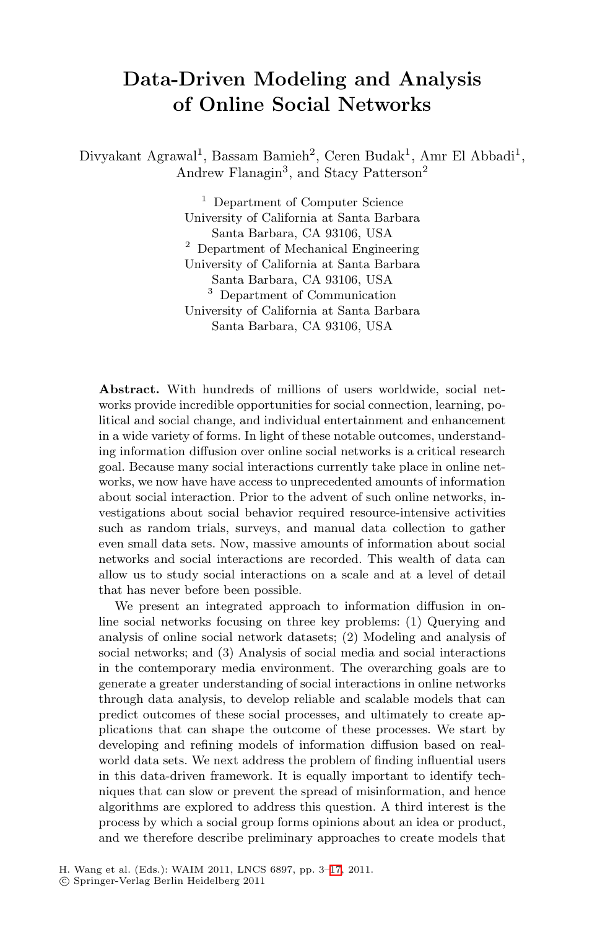# **Data-Driven Modeling and Analysis of Online Social Networks**

Divyakant Agrawal<sup>1</sup>, Bassam Bamieh<sup>2</sup>, Ceren Budak<sup>1</sup>, Amr El Abbadi<sup>1</sup>, Andrew Flanagin<sup>3</sup>, and Stacy Patterson<sup>2</sup>

> <sup>1</sup> Department of Computer Science University of California at Santa Barbara Santa Barbara, CA 93106, USA  $2$  Department of Mechanical Engineering University of California at Santa Barbara Santa Barbara, CA 93106, USA <sup>3</sup> Department of Communication University of California at Santa Barbara Santa Barbara, CA 93106, USA

**Abstract.** With hundreds of millions of users worldwide, social networks provide incredible opportunities for social connection, learning, political and social change, and individual entertainment and enhancement in a wide variety of forms. In light of these notable outcomes, understanding information diffusion over online social networks is a critical research goal. Because many social interactions currently take place in online networks, we now have have access to unprecedented amounts of information about social interaction. Prior to the advent of such online networks, investigations about social behavior required resource-intensive activities such as random trials, surveys, and manual data collection to gather even small data sets. Now, massive amounts of information about social networks and social interactions are recorded. This wealth of data can allow us to study social interactions on a scale and at a level of detail that has never before been possible.

We present an integrated approach to information diffusion in online social networks focusing on three key problems: (1) Querying and analysis of online social network datasets; (2) Modeling and analysis of social networks; and (3) Analysis of social media and social interactions in the contemporary media environment. The overarching goals are to generate a greater understanding of social interactions in online networks through data analysis, to develop reliable and scalable models that can predict outcomes of these social processes, and ultimately to create applications that can shape the outcome of these processes. We start by developing and refining models of information diffusion based on realworld data sets. We next address the problem of finding influential users in this data-driven framework. It is equally important to identify techniques that can slow or prevent the spread of misinformation, and hence algorithms are explored to address this question. A third interest is the process by which a social group forms opinions about an idea or product, and we therefore describe preliminary approaches to create models that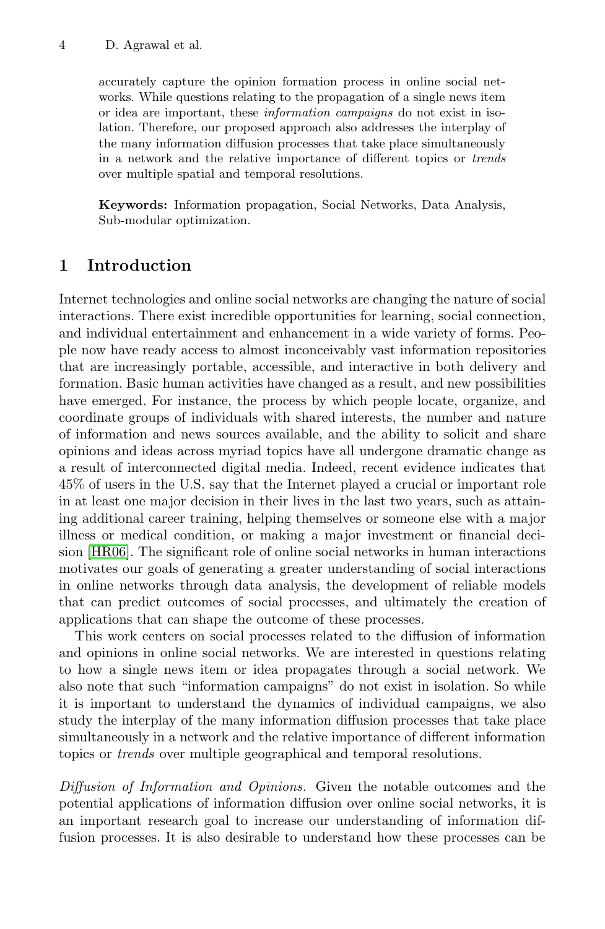accurately capture the opinion formation process in online social networks. While questions relating to the propagation of a single news item or idea are important, these *information campaigns* do not exist in isolation. Therefore, our proposed approach also addresses the interplay of the many information diffusion processes that take place simultaneously in a network and the relative importance of different topics or *trends* over multiple spatial and temporal resolutions.

**Keywords:** Information propagation, Social Networks, Data Analysis, Sub-modular optimization.

### **1 Introduction**

Internet technologies and online social networks are changing the nature of social interactions. There exist incredible opportunities for learning, social connection, and individual entertainment and enhancement in a wide variety of forms. People now have ready access to almost inconceivably vast information repositories that are increasingly portable, accessible, and interactive in both delivery and formation. Basic human activities have changed as a result, and new possibilities have emerged. For instance, the process by which people locate, organize, and coordinate groups of individuals with shared interests, the number and nature of information and news sources available, and the ability to solicit and share opinions and ideas across myriad topics have all undergone dramatic change as a result of interconnected digital media. Indeed, recent evidence indicates that 45% of users in the U.S. say that the Internet played a crucial or important role in at least one major decision in their lives in the last two years, such as attaining additional career training, helping themselves or someone else with a major illness or medical condition, or making a major investment or financial decision [\[HR06\]](#page-13-0). The significant role of online social networks in human interactions motivates our goals of generating a greater understanding of social interactions in online networks through data analysis, the development of reliable models that can predict outcomes of social processes, and ultimately the creation of applications that can shape the outcome of these processes.

This work centers on social processes related to the diffusion of information and opinions in online social networks. We are interested in questions relating to how a single news item or idea propagates through a social network. We also note that such "information campaigns" do not exist in isolation. So while it is important to understand the dynamics of individual campaigns, we also study the interplay of the many information diffusion processes that take place simultaneously in a network and the relative importance of different information topics or *trends* over multiple geographical and temporal resolutions.

*Diffusion of Information and Opinions.* Given the notable outcomes and the potential applications of information diffusion over online social networks, it is an important research goal to increase our understanding of information diffusion processes. It is also desirable to understand how these processes can be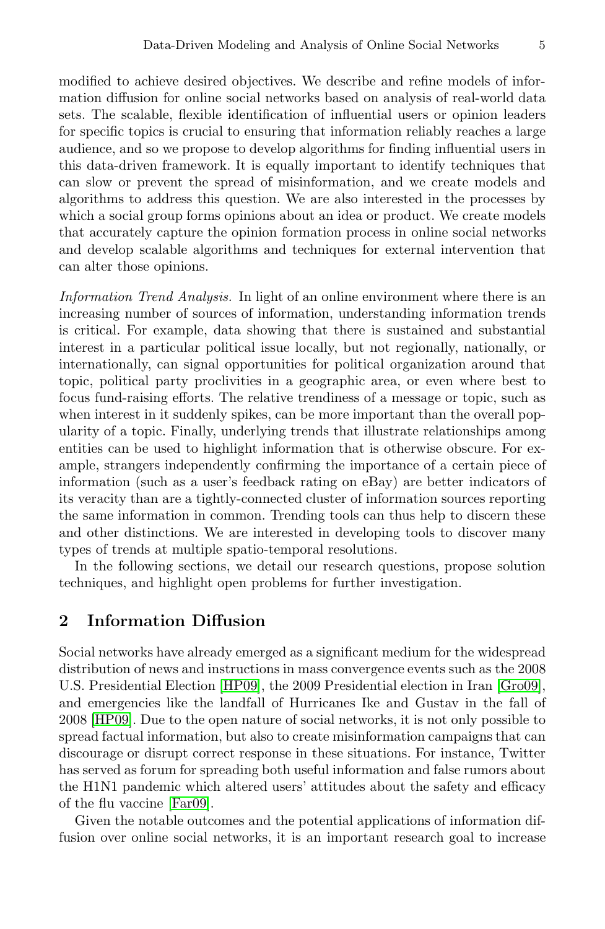modified to achieve desired objectives. We describe and refine models of information diffusion for online social networks based on analysis of real-world data sets. The scalable, flexible identification of influential users or opinion leaders for specific topics is crucial to ensuring that information reliably reaches a large audience, and so we propose to develop algorithms for finding influential users in this data-driven framework. It is equally important to identify techniques that can slow or prevent the spread of misinformation, and we create models and algorithms to address this question. We are also interested in the processes by which a social group forms opinions about an idea or product. We create models that accurately capture the opinion formation process in online social networks and develop scalable algorithms and techniques for external intervention that can alter those opinions.

*Information Trend Analysis.* In light of an online environment where there is an increasing number of sources of information, understanding information trends is critical. For example, data showing that there is sustained and substantial interest in a particular political issue locally, but not regionally, nationally, or internationally, can signal opportunities for political organization around that topic, political party proclivities in a geographic area, or even where best to focus fund-raising efforts. The relative trendiness of a message or topic, such as when interest in it suddenly spikes, can be more important than the overall popularity of a topic. Finally, underlying trends that illustrate relationships among entities can be used to highlight information that is otherwise obscure. For example, strangers independently confirming the importance of a certain piece of information (such as a user's feedback rating on eBay) are better indicators of its veracity than are a tightly-connected cluster of information sources reporting the same information in common. Trending tools can thus help to discern these and other distinctions. We are interested in developing tools to discover many types of trends at multiple spatio-temporal resolutions.

In the following sections, we detail our research questions, propose solution techniques, and highlight open problems for further investigation.

# **2 Information Diffusion**

Social networks have already emerged as a significant medium for the widespread distribution of news and instructions in mass convergence events such as the 2008 U.S. Presidential Election [\[HP09\]](#page-12-0), the 2009 Presidential election in Iran [\[Gro09\]](#page-12-1), and emergencies like the landfall of Hurricanes Ike and Gustav in the fall of 2008 [\[HP09\]](#page-12-0). Due to the open nature of social networks, it is not only possible to spread factual information, but also to create misinformation campaigns that can discourage or disrupt correct response in these situations. For instance, Twitter has served as forum for spreading both useful information and false rumors about the H1N1 pandemic which altered users' attitudes about the safety and efficacy of the flu vaccine [\[Far09\]](#page-12-2).

Given the notable outcomes and the potential applications of information diffusion over online social networks, it is an important research goal to increase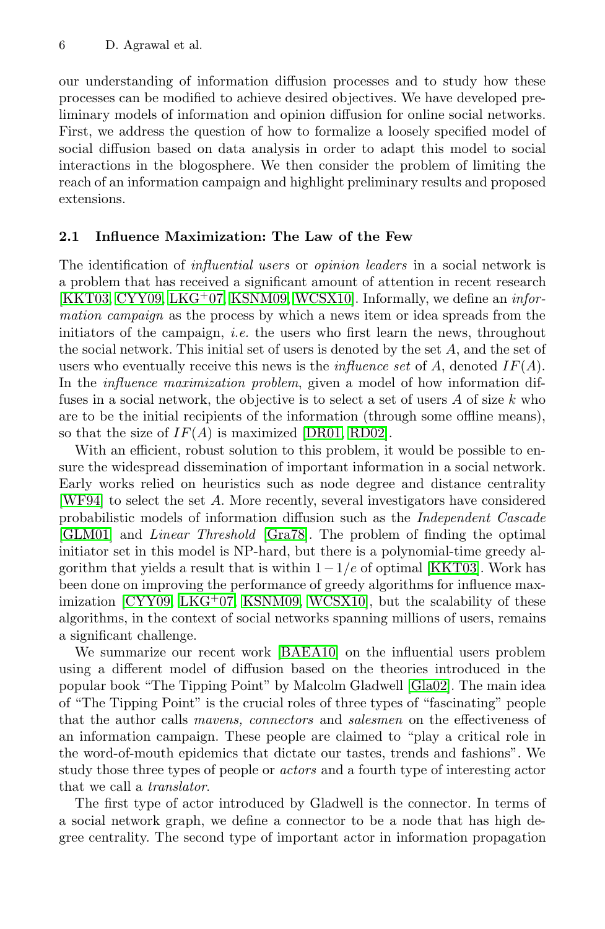our understanding of information diffusion processes and to study how these processes can be modified to achieve desired objectives. We have developed preliminary models of information and opinion diffusion for online social networks. First, we address the question of how to formalize a loosely specified model of social diffusion based on data analysis in order to adapt this model to social interactions in the blogosphere. We then consider the problem of limiting the reach of an information campaign and highlight preliminary results and proposed extensions.

#### **2.1 Influence Maximization: The Law of the Few**

The identification of *influential users* or *opinion leaders* in a social network is a problem that has received a significant amount of attention in recent research [\[KKT03,](#page-13-1) [CYY09,](#page-12-3) [LKG](#page-13-2)<sup>+</sup>07, [KSNM09,](#page-13-3) [WCSX10\]](#page-14-1). Informally, we define an *information campaign* as the process by which a news item or idea spreads from the initiators of the campaign, *i.e.* the users who first learn the news, throughout the social network. This initial set of users is denoted by the set  $A$ , and the set of users who eventually receive this news is the *influence set* of A, denoted IF(A). In the *influence maximization problem*, given a model of how information diffuses in a social network, the objective is to select a set of users  $A$  of size  $k$  who are to be the initial recipients of the information (through some offline means), so that the size of  $IF(A)$  is maximized [\[DR01,](#page-12-4) [RD02\]](#page-13-4).

With an efficient, robust solution to this problem, it would be possible to ensure the widespread dissemination of important information in a social network. Early works relied on heuristics such as node degree and distance centrality [\[WF94\]](#page-14-2) to select the set A. More recently, several investigators have considered probabilistic models of information diffusion such as the *Independent Cascade* [\[GLM01\]](#page-12-5) and *Linear Threshold* [\[Gra78\]](#page-12-6). The problem of finding the optimal initiator set in this model is NP-hard, but there is a polynomial-time greedy algorithm that yields a result that is within  $1-1/e$  of optimal [\[KKT03\]](#page-13-1). Work has been done on improving the performance of greedy algorithms for influence maximization  $[CYY09, LKG^+07, KSNM09, WCSX10]$  $[CYY09, LKG^+07, KSNM09, WCSX10]$  $[CYY09, LKG^+07, KSNM09, WCSX10]$  $[CYY09, LKG^+07, KSNM09, WCSX10]$  $[CYY09, LKG^+07, KSNM09, WCSX10]$ , but the scalability of these algorithms, in the context of social networks spanning millions of users, remains a significant challenge.

We summarize our recent work [\[BAEA10\]](#page-11-0) on the influential users problem using a different model of diffusion based on the theories introduced in the popular book "The Tipping Point" by Malcolm Gladwell [\[Gla02\]](#page-12-7). The main idea of "The Tipping Point" is the crucial roles of three types of "fascinating" people that the author calls *mavens, connectors* and *salesmen* on the effectiveness of an information campaign. These people are claimed to "play a critical role in the word-of-mouth epidemics that dictate our tastes, trends and fashions". We study those three types of people or *actors* and a fourth type of interesting actor that we call a *translator*.

The first type of actor introduced by Gladwell is the connector. In terms of a social network graph, we define a connector to be a node that has high degree centrality. The second type of important actor in information propagation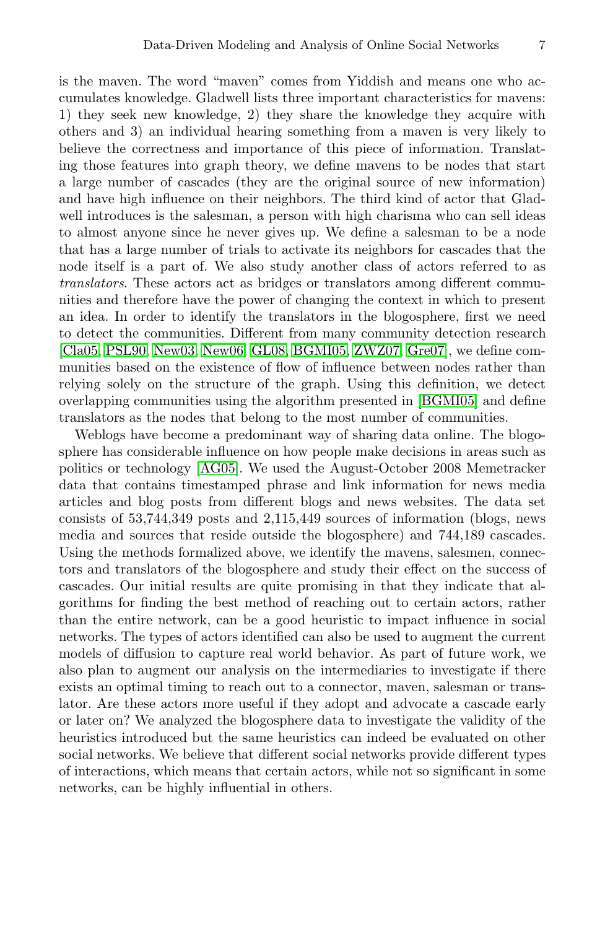is the maven. The word "maven" comes from Yiddish and means one who accumulates knowledge. Gladwell lists three important characteristics for mavens: 1) they seek new knowledge, 2) they share the knowledge they acquire with others and 3) an individual hearing something from a maven is very likely to believe the correctness and importance of this piece of information. Translating those features into graph theory, we define mavens to be nodes that start a large number of cascades (they are the original source of new information) and have high influence on their neighbors. The third kind of actor that Gladwell introduces is the salesman, a person with high charisma who can sell ideas to almost anyone since he never gives up. We define a salesman to be a node that has a large number of trials to activate its neighbors for cascades that the node itself is a part of. We also study another class of actors referred to as *translators*. These actors act as bridges or translators among different communities and therefore have the power of changing the context in which to present an idea. In order to identify the translators in the blogosphere, first we need to detect the communities. Different from many community detection research [\[Cla05,](#page-11-1) [PSL90,](#page-13-5) [New03,](#page-13-6) [New06,](#page-13-7) [GL08,](#page-12-8) [BGMI05,](#page-11-2) [ZWZ07,](#page-14-3) [Gre07\]](#page-12-9), we define communities based on the existence of flow of influence between nodes rather than relying solely on the structure of the graph. Using this definition, we detect overlapping communities using the algorithm presented in [\[BGMI05\]](#page-11-2) and define translators as the nodes that belong to the most number of communities.

Weblogs have become a predominant way of sharing data online. The blogosphere has considerable influence on how people make decisions in areas such as politics or technology [\[AG05\]](#page-11-3). We used the August-October 2008 Memetracker data that contains timestamped phrase and link information for news media articles and blog posts from different blogs and news websites. The data set consists of 53,744,349 posts and 2,115,449 sources of information (blogs, news media and sources that reside outside the blogosphere) and 744,189 cascades. Using the methods formalized above, we identify the mavens, salesmen, connectors and translators of the blogosphere and study their effect on the success of cascades. Our initial results are quite promising in that they indicate that algorithms for finding the best method of reaching out to certain actors, rather than the entire network, can be a good heuristic to impact influence in social networks. The types of actors identified can also be used to augment the current models of diffusion to capture real world behavior. As part of future work, we also plan to augment our analysis on the intermediaries to investigate if there exists an optimal timing to reach out to a connector, maven, salesman or translator. Are these actors more useful if they adopt and advocate a cascade early or later on? We analyzed the blogosphere data to investigate the validity of the heuristics introduced but the same heuristics can indeed be evaluated on other social networks. We believe that different social networks provide different types of interactions, which means that certain actors, while not so significant in some networks, can be highly influential in others.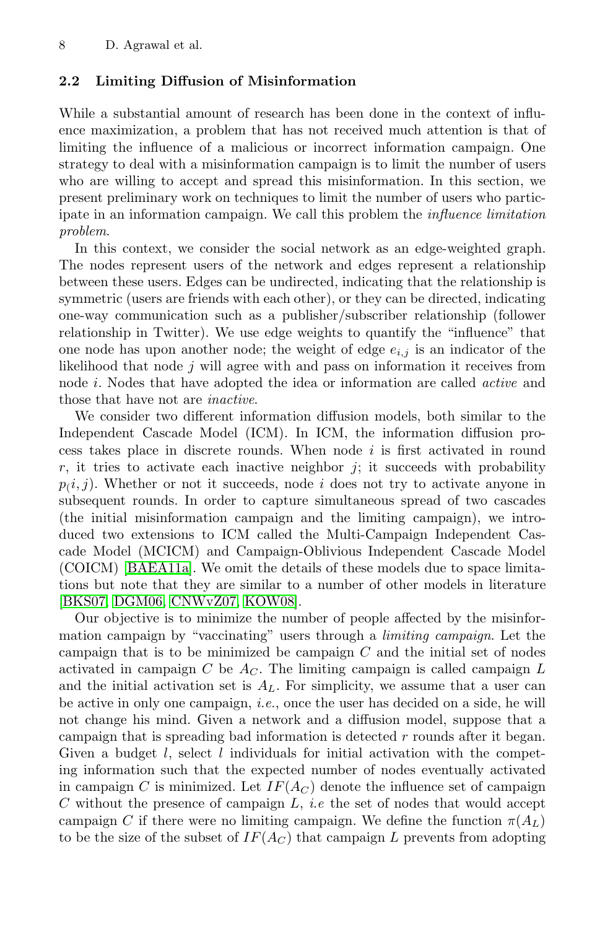#### **2.2 Limiting Diffusion of Misinformation**

While a substantial amount of research has been done in the context of influence maximization, a problem that has not received much attention is that of limiting the influence of a malicious or incorrect information campaign. One strategy to deal with a misinformation campaign is to limit the number of users who are willing to accept and spread this misinformation. In this section, we present preliminary work on techniques to limit the number of users who participate in an information campaign. We call this problem the *influence limitation problem*.

In this context, we consider the social network as an edge-weighted graph. The nodes represent users of the network and edges represent a relationship between these users. Edges can be undirected, indicating that the relationship is symmetric (users are friends with each other), or they can be directed, indicating one-way communication such as a publisher/subscriber relationship (follower relationship in Twitter). We use edge weights to quantify the "influence" that one node has upon another node; the weight of edge  $e_{i,j}$  is an indicator of the likelihood that node j will agree with and pass on information it receives from node i. Nodes that have adopted the idea or information are called *active* and those that have not are *inactive*.

We consider two different information diffusion models, both similar to the Independent Cascade Model (ICM). In ICM, the information diffusion process takes place in discrete rounds. When node  $i$  is first activated in round  $r$ , it tries to activate each inactive neighbor  $j$ ; it succeeds with probability  $p(i, j)$ . Whether or not it succeeds, node i does not try to activate anyone in subsequent rounds. In order to capture simultaneous spread of two cascades (the initial misinformation campaign and the limiting campaign), we introduced two extensions to ICM called the Multi-Campaign Independent Cascade Model (MCICM) and Campaign-Oblivious Independent Cascade Model (COICM) [\[BAEA11a\]](#page-11-4). We omit the details of these models due to space limitations but note that they are similar to a number of other models in literature [\[BKS07,](#page-11-5) [DGM06,](#page-12-10) [CNWvZ07,](#page-12-11) [KOW08\]](#page-13-8).

Our objective is to minimize the number of people affected by the misinformation campaign by "vaccinating" users through a *limiting campaign*. Let the campaign that is to be minimized be campaign  $C$  and the initial set of nodes activated in campaign  $C$  be  $A_C$ . The limiting campaign is called campaign  $L$ and the initial activation set is A*L*. For simplicity, we assume that a user can be active in only one campaign, *i.e.*, once the user has decided on a side, he will not change his mind. Given a network and a diffusion model, suppose that a campaign that is spreading bad information is detected r rounds after it began. Given a budget  $l$ , select  $l$  individuals for initial activation with the competing information such that the expected number of nodes eventually activated in campaign C is minimized. Let  $IF(A_C)$  denote the influence set of campaign C without the presence of campaign L, *i.e* the set of nodes that would accept campaign C if there were no limiting campaign. We define the function  $\pi(A_L)$ to be the size of the subset of  $IF(A_C)$  that campaign L prevents from adopting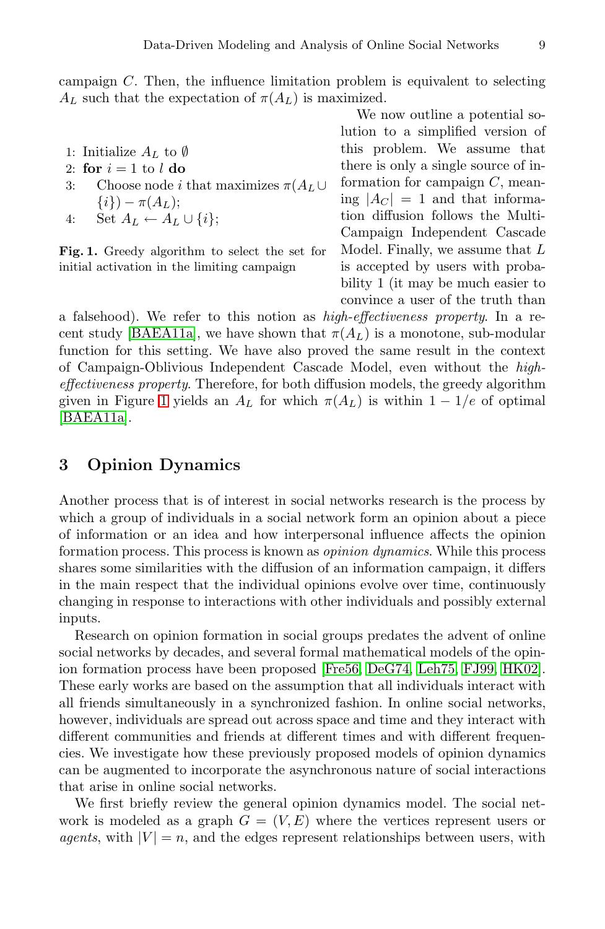campaign C. Then, the influence limitation problem is equivalent to selecting  $A_L$  such that the expectation of  $\pi(A_L)$  is maximized.

- 1: Initialize  $A_L$  to  $\emptyset$
- 2: **for**  $i = 1$  to  $l$  **do**
- 3: Choose node *i* that maximizes  $\pi(A_L \cup$  $\{i\}) - \pi(A_L);$
- <span id="page-6-0"></span>4: Set  $A_L \leftarrow A_L \cup \{i\};$

**Fig. 1.** Greedy algorithm to select the set for initial activation in the limiting campaign

We now outline a potential solution to a simplified version of this problem. We assume that there is only a single source of information for campaign  $C$ , meaning  $|A_C| = 1$  and that information diffusion follows the Multi-Campaign Independent Cascade Model. Finally, we assume that L is accepted by users with probability 1 (it may be much easier to convince a user of the truth than

a falsehood). We refer to this notion as *high-effectiveness property*. In a re-cent study [\[BAEA11a\]](#page-11-4), we have shown that  $\pi(A_L)$  is a monotone, sub-modular function for this setting. We have also proved the same result in the context of Campaign-Oblivious Independent Cascade Model, even without the *higheffectiveness property*. Therefore, for both diffusion models, the greedy algorithm given in Figure [1](#page-6-0) yields an  $A_L$  for which  $\pi(A_L)$  is within  $1 - 1/e$  of optimal [\[BAEA11a\]](#page-11-4).

# **3 Opinion Dynamics**

Another process that is of interest in social networks research is the process by which a group of individuals in a social network form an opinion about a piece of information or an idea and how interpersonal influence affects the opinion formation process. This process is known as *opinion dynamics*. While this process shares some similarities with the diffusion of an information campaign, it differs in the main respect that the individual opinions evolve over time, continuously changing in response to interactions with other individuals and possibly external inputs.

Research on opinion formation in social groups predates the advent of online social networks by decades, and several formal mathematical models of the opinion formation process have been proposed [\[Fre56,](#page-12-12) [DeG74,](#page-12-13) [Leh75,](#page-13-9) [FJ99,](#page-12-14) [HK02\]](#page-12-15). These early works are based on the assumption that all individuals interact with all friends simultaneously in a synchronized fashion. In online social networks, however, individuals are spread out across space and time and they interact with different communities and friends at different times and with different frequencies. We investigate how these previously proposed models of opinion dynamics can be augmented to incorporate the asynchronous nature of social interactions that arise in online social networks.

We first briefly review the general opinion dynamics model. The social network is modeled as a graph  $G = (V, E)$  where the vertices represent users or *agents*, with  $|V| = n$ , and the edges represent relationships between users, with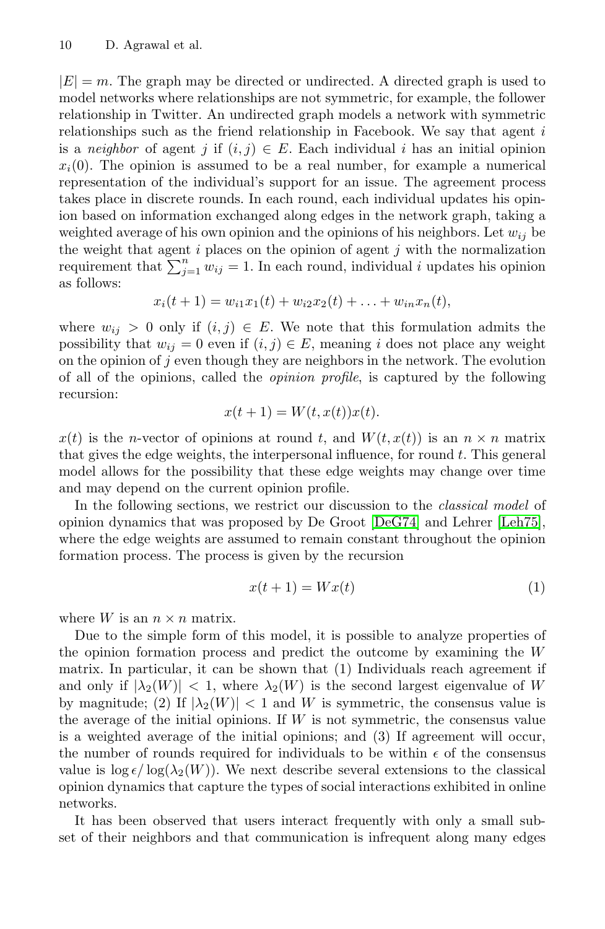$|E| = m$ . The graph may be directed or undirected. A directed graph is used to model networks where relationships are not symmetric, for example, the follower relationship in Twitter. An undirected graph models a network with symmetric relationships such as the friend relationship in Facebook. We say that agent  $i$ is a *neighbor* of agent j if  $(i, j) \in E$ . Each individual i has an initial opinion  $x_i(0)$ . The opinion is assumed to be a real number, for example a numerical representation of the individual's support for an issue. The agreement process takes place in discrete rounds. In each round, each individual updates his opinion based on information exchanged along edges in the network graph, taking a weighted average of his own opinion and the opinions of his neighbors. Let  $w_{ij}$  be the weight that agent  $i$  places on the opinion of agent  $j$  with the normalization requirement that  $\sum_{j=1}^{n} w_{ij} = 1$ . In each round, individual i updates his opinion as follows:

$$
x_i(t+1) = w_{i1}x_1(t) + w_{i2}x_2(t) + \ldots + w_{in}x_n(t),
$$

where  $w_{ij} > 0$  only if  $(i, j) \in E$ . We note that this formulation admits the possibility that  $w_{ij} = 0$  even if  $(i, j) \in E$ , meaning i does not place any weight on the opinion of  $j$  even though they are neighbors in the network. The evolution of all of the opinions, called the *opinion profile*, is captured by the following recursion:

$$
x(t+1) = W(t, x(t))x(t).
$$

 $x(t)$  is the *n*-vector of opinions at round t, and  $W(t, x(t))$  is an  $n \times n$  matrix that gives the edge weights, the interpersonal influence, for round  $t$ . This general model allows for the possibility that these edge weights may change over time and may depend on the current opinion profile.

In the following sections, we restrict our discussion to the *classical model* of opinion dynamics that was proposed by De Groot [\[DeG74\]](#page-12-13) and Lehrer [\[Leh75\]](#page-13-9), where the edge weights are assumed to remain constant throughout the opinion formation process. The process is given by the recursion

$$
x(t+1) = Wx(t) \tag{1}
$$

where W is an  $n \times n$  matrix.

Due to the simple form of this model, it is possible to analyze properties of the opinion formation process and predict the outcome by examining the W matrix. In particular, it can be shown that (1) Individuals reach agreement if and only if  $|\lambda_2(W)| < 1$ , where  $\lambda_2(W)$  is the second largest eigenvalue of W by magnitude; (2) If  $|\lambda_2(W)| < 1$  and W is symmetric, the consensus value is the average of the initial opinions. If  $W$  is not symmetric, the consensus value is a weighted average of the initial opinions; and (3) If agreement will occur, the number of rounds required for individuals to be within  $\epsilon$  of the consensus value is  $\log \epsilon / \log(\lambda_2(W))$ . We next describe several extensions to the classical opinion dynamics that capture the types of social interactions exhibited in online networks.

It has been observed that users interact frequently with only a small subset of their neighbors and that communication is infrequent along many edges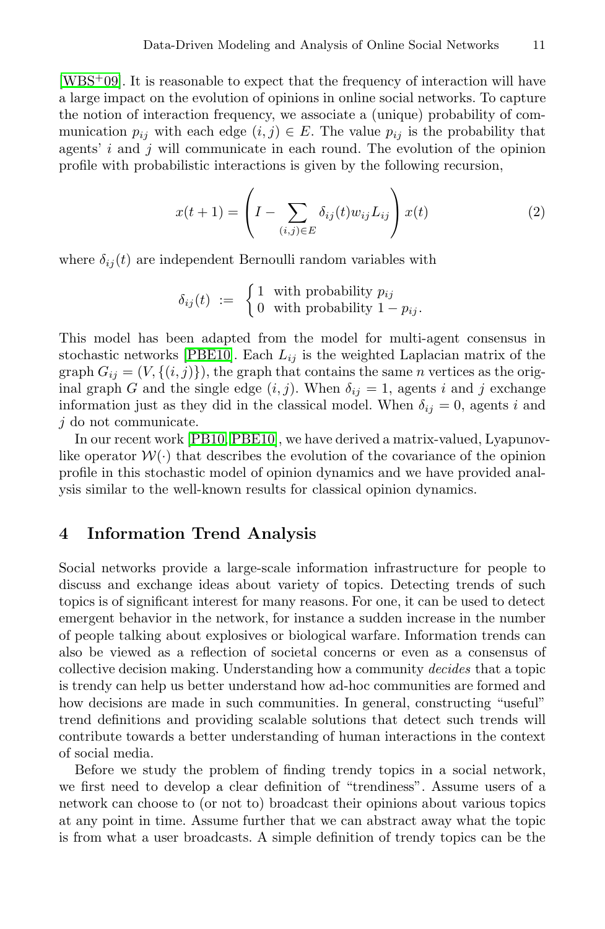[\[WBS](#page-13-10)<sup>+</sup>09]. It is reasonable to expect that the frequency of interaction will have a large impact on the evolution of opinions in online social networks. To capture the notion of interaction frequency, we associate a (unique) probability of communication  $p_{ij}$  with each edge  $(i, j) \in E$ . The value  $p_{ij}$  is the probability that agents' i and j will communicate in each round. The evolution of the opinion profile with probabilistic interactions is given by the following recursion,

$$
x(t+1) = \left(I - \sum_{(i,j)\in E} \delta_{ij}(t) w_{ij} L_{ij}\right) x(t)
$$
\n(2)

where  $\delta_{ij}(t)$  are independent Bernoulli random variables with

$$
\delta_{ij}(t) := \begin{cases} 1 & \text{with probability } p_{ij} \\ 0 & \text{with probability } 1 - p_{ij}. \end{cases}
$$

This model has been adapted from the model for multi-agent consensus in stochastic networks [\[PBE10\]](#page-13-11). Each  $L_{ij}$  is the weighted Laplacian matrix of the graph  $G_{ij} = (V, \{(i, j)\})$ , the graph that contains the same *n* vertices as the original graph G and the single edge  $(i, j)$ . When  $\delta_{ij} = 1$ , agents i and j exchange information just as they did in the classical model. When  $\delta_{ij} = 0$ , agents i and j do not communicate.

In our recent work [\[PB10,](#page-13-12) [PBE10\]](#page-13-11), we have derived a matrix-valued, Lyapunovlike operator  $W(\cdot)$  that describes the evolution of the covariance of the opinion profile in this stochastic model of opinion dynamics and we have provided analysis similar to the well-known results for classical opinion dynamics.

# **4 Information Trend Analysis**

Social networks provide a large-scale information infrastructure for people to discuss and exchange ideas about variety of topics. Detecting trends of such topics is of significant interest for many reasons. For one, it can be used to detect emergent behavior in the network, for instance a sudden increase in the number of people talking about explosives or biological warfare. Information trends can also be viewed as a reflection of societal concerns or even as a consensus of collective decision making. Understanding how a community *decides* that a topic is trendy can help us better understand how ad-hoc communities are formed and how decisions are made in such communities. In general, constructing "useful" trend definitions and providing scalable solutions that detect such trends will contribute towards a better understanding of human interactions in the context of social media.

Before we study the problem of finding trendy topics in a social network, we first need to develop a clear definition of "trendiness". Assume users of a network can choose to (or not to) broadcast their opinions about various topics at any point in time. Assume further that we can abstract away what the topic is from what a user broadcasts. A simple definition of trendy topics can be the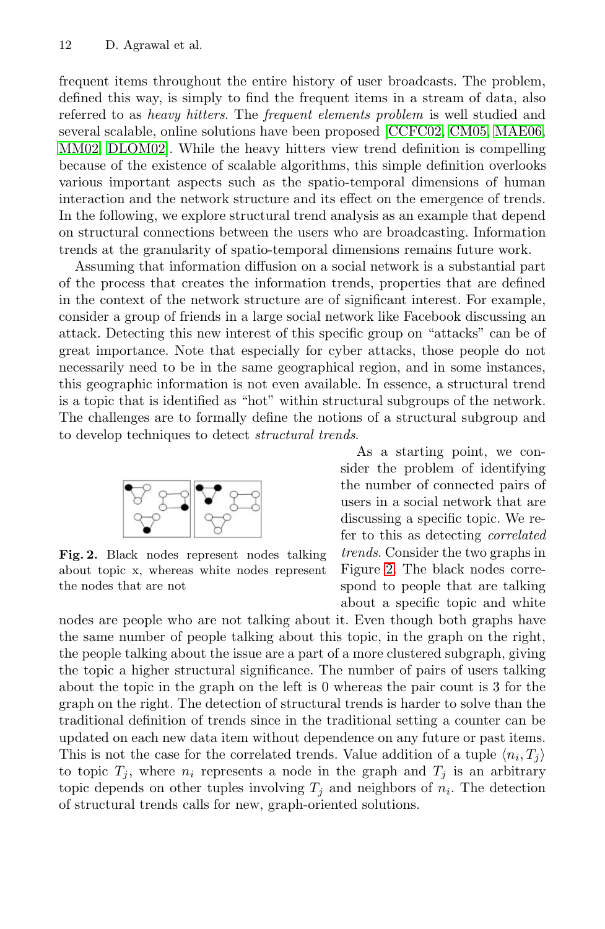frequent items throughout the entire history of user broadcasts. The problem, defined this way, is simply to find the frequent items in a stream of data, also referred to as *heavy hitters*. The *frequent elements problem* is well studied and several scalable, online solutions have been proposed [\[CCFC02,](#page-11-6) [CM05,](#page-11-7) [MAE06,](#page-13-13) [MM02,](#page-13-14) [DLOM02\]](#page-12-16). While the heavy hitters view trend definition is compelling because of the existence of scalable algorithms, this simple definition overlooks various important aspects such as the spatio-temporal dimensions of human interaction and the network structure and its effect on the emergence of trends. In the following, we explore structural trend analysis as an example that depend on structural connections between the users who are broadcasting. Information trends at the granularity of spatio-temporal dimensions remains future work.

Assuming that information diffusion on a social network is a substantial part of the process that creates the information trends, properties that are defined in the context of the network structure are of significant interest. For example, consider a group of friends in a large social network like Facebook discussing an attack. Detecting this new interest of this specific group on "attacks" can be of great importance. Note that especially for cyber attacks, those people do not necessarily need to be in the same geographical region, and in some instances, this geographic information is not even available. In essence, a structural trend is a topic that is identified as "hot" within structural subgroups of the network. The challenges are to formally define the notions of a structural subgroup and to develop techniques to detect *structural trends*.



<span id="page-9-0"></span>**Fig. 2.** Black nodes represent nodes talking about topic x, whereas white nodes represent the nodes that are not

As a starting point, we consider the problem of identifying the number of connected pairs of users in a social network that are discussing a specific topic. We refer to this as detecting *correlated trends*. Consider the two graphs in Figure [2.](#page-9-0) The black nodes correspond to people that are talking about a specific topic and white

nodes are people who are not talking about it. Even though both graphs have the same number of people talking about this topic, in the graph on the right, the people talking about the issue are a part of a more clustered subgraph, giving the topic a higher structural significance. The number of pairs of users talking about the topic in the graph on the left is 0 whereas the pair count is 3 for the graph on the right. The detection of structural trends is harder to solve than the traditional definition of trends since in the traditional setting a counter can be updated on each new data item without dependence on any future or past items. This is not the case for the correlated trends. Value addition of a tuple  $\langle n_i, T_i \rangle$ to topic  $T_j$ , where  $n_i$  represents a node in the graph and  $T_j$  is an arbitrary topic depends on other tuples involving  $T_j$  and neighbors of  $n_i$ . The detection of structural trends calls for new, graph-oriented solutions.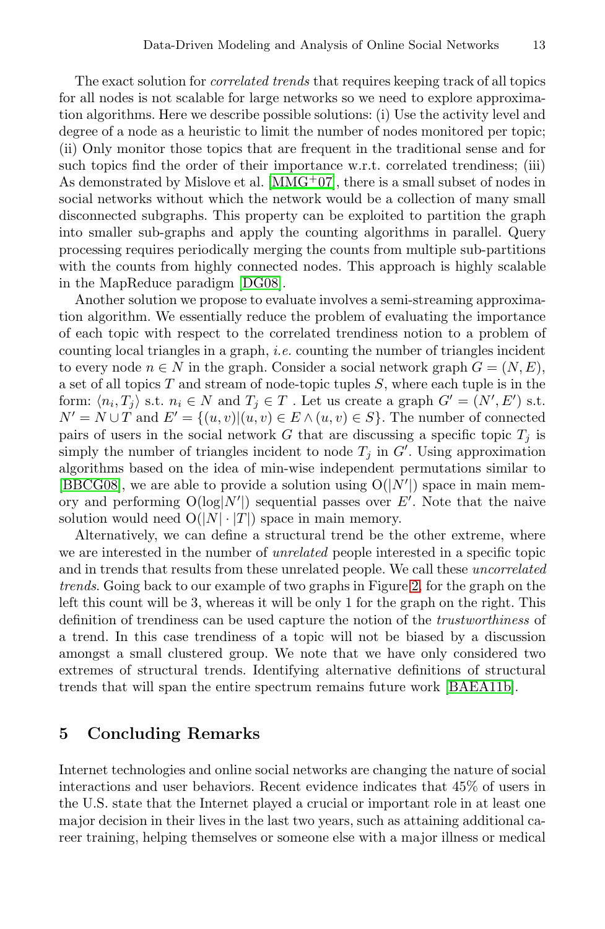The exact solution for *correlated trends* that requires keeping track of all topics for all nodes is not scalable for large networks so we need to explore approximation algorithms. Here we describe possible solutions: (i) Use the activity level and degree of a node as a heuristic to limit the number of nodes monitored per topic; (ii) Only monitor those topics that are frequent in the traditional sense and for such topics find the order of their importance w.r.t. correlated trendiness; (iii) As demonstrated by Mislove et al.  $[MMG<sup>+</sup>07]$  $[MMG<sup>+</sup>07]$ , there is a small subset of nodes in social networks without which the network would be a collection of many small disconnected subgraphs. This property can be exploited to partition the graph into smaller sub-graphs and apply the counting algorithms in parallel. Query processing requires periodically merging the counts from multiple sub-partitions with the counts from highly connected nodes. This approach is highly scalable in the MapReduce paradigm [\[DG08\]](#page-12-17).

Another solution we propose to evaluate involves a semi-streaming approximation algorithm. We essentially reduce the problem of evaluating the importance of each topic with respect to the correlated trendiness notion to a problem of counting local triangles in a graph, *i.e.* counting the number of triangles incident to every node  $n \in N$  in the graph. Consider a social network graph  $G = (N, E)$ , a set of all topics T and stream of node-topic tuples S, where each tuple is in the form:  $\langle n_i, T_j \rangle$  s.t.  $n_i \in N$  and  $T_j \in T$ . Let us create a graph  $G' = (N', E')$  s.t.  $N' = N \cup T$  and  $E' = \{(u, v) | (u, v) \in E \land (u, v) \in S\}$ . The number of connected pairs of users in the social network G that are discussing a specific topic  $T_i$  is simply the number of triangles incident to node  $T_j$  in  $G'$ . Using approximation algorithms based on the idea of min-wise independent permutations similar to [\[BBCG08\]](#page-11-8), we are able to provide a solution using  $O(|N'|)$  space in main memory and performing  $O(log|N'|)$  sequential passes over E'. Note that the naive solution would need  $O(|N| \cdot |T|)$  space in main memory.

Alternatively, we can define a structural trend be the other extreme, where we are interested in the number of *unrelated* people interested in a specific topic and in trends that results from these unrelated people. We call these *uncorrelated trends*. Going back to our example of two graphs in Figure [2,](#page-9-0) for the graph on the left this count will be 3, whereas it will be only 1 for the graph on the right. This definition of trendiness can be used capture the notion of the *trustworthiness* of a trend. In this case trendiness of a topic will not be biased by a discussion amongst a small clustered group. We note that we have only considered two extremes of structural trends. Identifying alternative definitions of structural trends that will span the entire spectrum remains future work [\[BAEA11b\]](#page-11-9).

#### **5 Concluding Remarks**

Internet technologies and online social networks are changing the nature of social interactions and user behaviors. Recent evidence indicates that 45% of users in the U.S. state that the Internet played a crucial or important role in at least one major decision in their lives in the last two years, such as attaining additional career training, helping themselves or someone else with a major illness or medical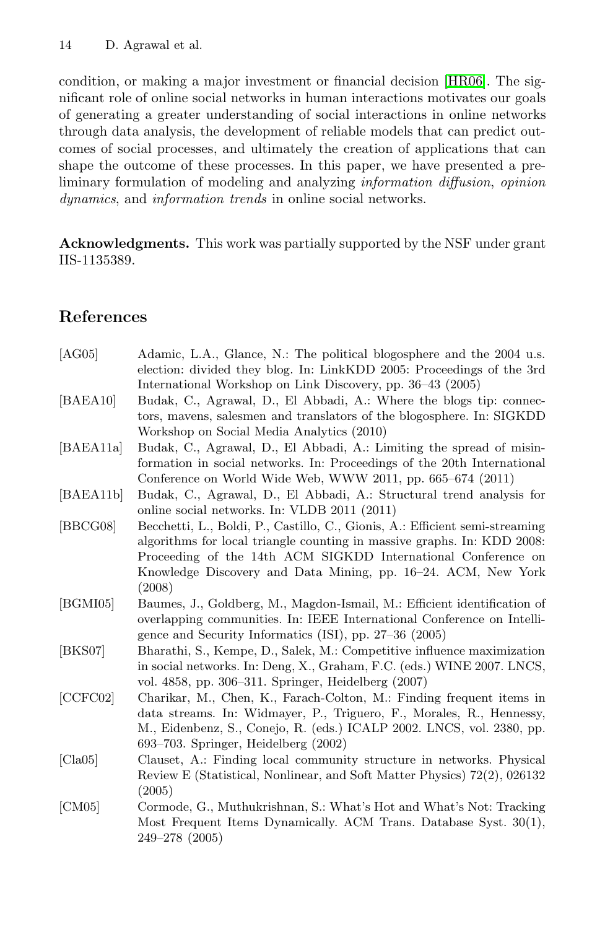condition, or making a major investment or financial decision [\[HR06\]](#page-13-0). The significant role of online social networks in human interactions motivates our goals of generating a greater understanding of social interactions in online networks through data analysis, the development of reliable models that can predict outcomes of social processes, and ultimately the creation of applications that can shape the outcome of these processes. In this paper, we have presented a preliminary formulation of modeling and analyzing *information diffusion*, *opinion dynamics*, and *information trends* in online social networks.

**Acknowledgments.** This work was partially supported by the NSF under grant IIS-1135389.

# **References**

<span id="page-11-9"></span><span id="page-11-8"></span><span id="page-11-7"></span><span id="page-11-6"></span><span id="page-11-5"></span><span id="page-11-4"></span><span id="page-11-3"></span><span id="page-11-2"></span><span id="page-11-1"></span><span id="page-11-0"></span>

| [AG05]    | Adamic, L.A., Glance, N.: The political blogosphere and the 2004 u.s.<br>election: divided they blog. In: LinkKDD 2005: Proceedings of the 3rd |
|-----------|------------------------------------------------------------------------------------------------------------------------------------------------|
|           | International Workshop on Link Discovery, pp. 36–43 (2005)                                                                                     |
| [BAEA10]  | Budak, C., Agrawal, D., El Abbadi, A.: Where the blogs tip: connec-                                                                            |
|           | tors, maybers, salesmen and translators of the blogosphere. In: SIGKDD                                                                         |
|           | Workshop on Social Media Analytics (2010)                                                                                                      |
| [BAEA11a] | Budak, C., Agrawal, D., El Abbadi, A.: Limiting the spread of misin-                                                                           |
|           | formation in social networks. In: Proceedings of the 20th International                                                                        |
|           | Conference on World Wide Web, WWW 2011, pp. $665-674$ (2011)                                                                                   |
| [BAEA11b] | Budak, C., Agrawal, D., El Abbadi, A.: Structural trend analysis for<br>online social networks. In: VLDB 2011 (2011)                           |
| [BBCG08]  | Becchetti, L., Boldi, P., Castillo, C., Gionis, A.: Efficient semi-streaming                                                                   |
|           | algorithms for local triangle counting in massive graphs. In: KDD 2008:                                                                        |
|           | Proceeding of the 14th ACM SIGKDD International Conference on                                                                                  |
|           | Knowledge Discovery and Data Mining, pp. 16–24. ACM, New York                                                                                  |
|           | (2008)                                                                                                                                         |
| [BGMI05]  | Baumes, J., Goldberg, M., Magdon-Ismail, M.: Efficient identification of                                                                       |
|           | overlapping communities. In: IEEE International Conference on Intelli-                                                                         |
|           | gence and Security Informatics (ISI), pp. 27–36 (2005)                                                                                         |
| [BKS07]   | Bharathi, S., Kempe, D., Salek, M.: Competitive influence maximization                                                                         |
|           | in social networks. In: Deng, X., Graham, F.C. (eds.) WINE 2007. LNCS,                                                                         |
|           | vol. 4858, pp. 306–311. Springer, Heidelberg (2007)                                                                                            |
| [CCFC02]  | Charikar, M., Chen, K., Farach-Colton, M.: Finding frequent items in                                                                           |
|           | data streams. In: Widmayer, P., Triguero, F., Morales, R., Hennessy,                                                                           |
|           | M., Eidenbenz, S., Conejo, R. (eds.) ICALP 2002. LNCS, vol. 2380, pp.                                                                          |
|           | 693–703. Springer, Heidelberg (2002)                                                                                                           |
| [Cla05]   | Clauset, A.: Finding local community structure in networks. Physical                                                                           |
|           | Review E (Statistical, Nonlinear, and Soft Matter Physics) 72(2), 026132                                                                       |
|           | (2005)                                                                                                                                         |
| [CM05]    | Cormode, G., Muthukrishnan, S.: What's Hot and What's Not: Tracking                                                                            |
|           | Most Frequent Items Dynamically. ACM Trans. Database Syst. $30(1)$ ,                                                                           |
|           | 249–278 (2005)                                                                                                                                 |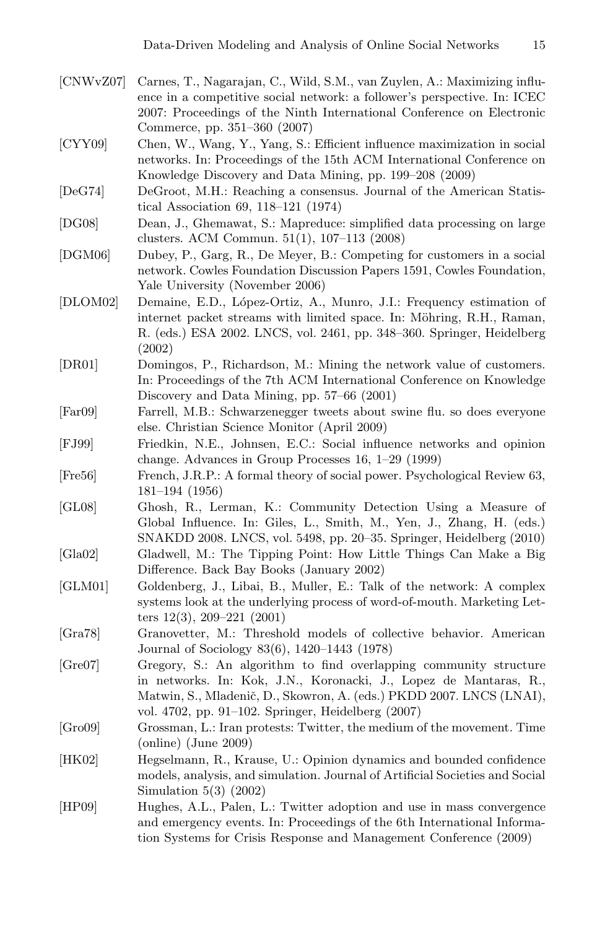- <span id="page-12-11"></span>[CNWvZ07] Carnes, T., Nagarajan, C., Wild, S.M., van Zuylen, A.: Maximizing influence in a competitive social network: a follower's perspective. In: ICEC 2007: Proceedings of the Ninth International Conference on Electronic Commerce, pp. 351–360 (2007)
- <span id="page-12-3"></span>[CYY09] Chen, W., Wang, Y., Yang, S.: Efficient influence maximization in social networks. In: Proceedings of the 15th ACM International Conference on Knowledge Discovery and Data Mining, pp. 199–208 (2009)
- <span id="page-12-13"></span>[DeG74] DeGroot, M.H.: Reaching a consensus. Journal of the American Statistical Association 69, 118–121 (1974)
- <span id="page-12-17"></span>[DG08] Dean, J., Ghemawat, S.: Mapreduce: simplified data processing on large clusters. ACM Commun. 51(1), 107–113 (2008)
- <span id="page-12-10"></span>[DGM06] Dubey, P., Garg, R., De Meyer, B.: Competing for customers in a social network. Cowles Foundation Discussion Papers 1591, Cowles Foundation, Yale University (November 2006)
- <span id="page-12-16"></span>[DLOM02] Demaine, E.D., López-Ortiz, A., Munro, J.I.: Frequency estimation of internet packet streams with limited space. In: Möhring, R.H., Raman, R. (eds.) ESA 2002. LNCS, vol. 2461, pp. 348–360. Springer, Heidelberg (2002)
- <span id="page-12-4"></span>[DR01] Domingos, P., Richardson, M.: Mining the network value of customers. In: Proceedings of the 7th ACM International Conference on Knowledge Discovery and Data Mining, pp. 57–66 (2001)
- <span id="page-12-2"></span>[Far09] Farrell, M.B.: Schwarzenegger tweets about swine flu. so does everyone else. Christian Science Monitor (April 2009)
- <span id="page-12-14"></span>[FJ99] Friedkin, N.E., Johnsen, E.C.: Social influence networks and opinion change. Advances in Group Processes 16, 1–29 (1999)
- <span id="page-12-12"></span>[Fre56] French, J.R.P.: A formal theory of social power. Psychological Review 63, 181–194 (1956)
- <span id="page-12-8"></span>[GL08] Ghosh, R., Lerman, K.: Community Detection Using a Measure of Global Influence. In: Giles, L., Smith, M., Yen, J., Zhang, H. (eds.) SNAKDD 2008. LNCS, vol. 5498, pp. 20–35. Springer, Heidelberg (2010)
- <span id="page-12-7"></span>[Gla02] Gladwell, M.: The Tipping Point: How Little Things Can Make a Big Difference. Back Bay Books (January 2002)
- <span id="page-12-5"></span>[GLM01] Goldenberg, J., Libai, B., Muller, E.: Talk of the network: A complex systems look at the underlying process of word-of-mouth. Marketing Letters 12(3), 209–221 (2001)
- <span id="page-12-6"></span>[Gra78] Granovetter, M.: Threshold models of collective behavior. American Journal of Sociology 83(6), 1420–1443 (1978)
- <span id="page-12-9"></span>[Gre07] Gregory, S.: An algorithm to find overlapping community structure in networks. In: Kok, J.N., Koronacki, J., Lopez de Mantaras, R., Matwin, S., Mladenič, D., Skowron, A. (eds.) PKDD 2007. LNCS (LNAI), vol. 4702, pp. 91–102. Springer, Heidelberg (2007)
- <span id="page-12-1"></span>[Gro09] Grossman, L.: Iran protests: Twitter, the medium of the movement. Time (online) (June 2009)
- <span id="page-12-15"></span>[HK02] Hegselmann, R., Krause, U.: Opinion dynamics and bounded confidence models, analysis, and simulation. Journal of Artificial Societies and Social Simulation 5(3) (2002)
- <span id="page-12-0"></span>[HP09] Hughes, A.L., Palen, L.: Twitter adoption and use in mass convergence and emergency events. In: Proceedings of the 6th International Information Systems for Crisis Response and Management Conference (2009)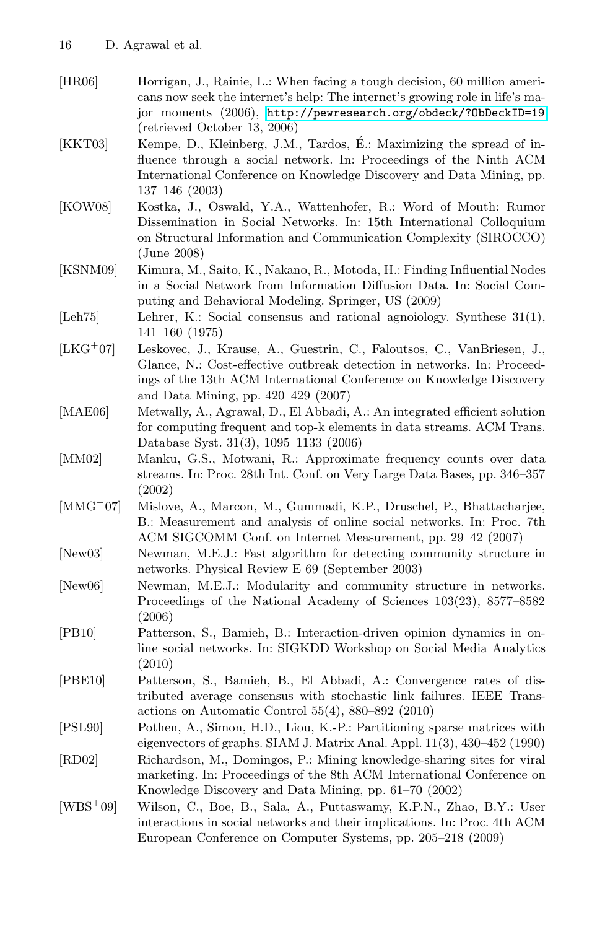- <span id="page-13-0"></span>[HR06] Horrigan, J., Rainie, L.: When facing a tough decision, 60 million americans now seek the internet's help: The internet's growing role in life's major moments (2006), <http://pewresearch.org/obdeck/?ObDeckID=19> (retrieved October 13, 2006)
- <span id="page-13-1"></span>[KKT03] Kempe, D., Kleinberg, J.M., Tardos, E.: Maximizing the spread of in- ´ fluence through a social network. In: Proceedings of the Ninth ACM International Conference on Knowledge Discovery and Data Mining, pp. 137–146 (2003)
- <span id="page-13-8"></span>[KOW08] Kostka, J., Oswald, Y.A., Wattenhofer, R.: Word of Mouth: Rumor Dissemination in Social Networks. In: 15th International Colloquium on Structural Information and Communication Complexity (SIROCCO) (June 2008)
- <span id="page-13-3"></span>[KSNM09] Kimura, M., Saito, K., Nakano, R., Motoda, H.: Finding Influential Nodes in a Social Network from Information Diffusion Data. In: Social Computing and Behavioral Modeling. Springer, US (2009)
- <span id="page-13-9"></span>[Leh75] Lehrer, K.: Social consensus and rational agnoiology. Synthese 31(1), 141–160 (1975)
- <span id="page-13-2"></span>[LKG<sup>+</sup>07] Leskovec, J., Krause, A., Guestrin, C., Faloutsos, C., VanBriesen, J., Glance, N.: Cost-effective outbreak detection in networks. In: Proceedings of the 13th ACM International Conference on Knowledge Discovery and Data Mining, pp. 420–429 (2007)
- <span id="page-13-13"></span>[MAE06] Metwally, A., Agrawal, D., El Abbadi, A.: An integrated efficient solution for computing frequent and top-k elements in data streams. ACM Trans. Database Syst. 31(3), 1095–1133 (2006)
- <span id="page-13-14"></span>[MM02] Manku, G.S., Motwani, R.: Approximate frequency counts over data streams. In: Proc. 28th Int. Conf. on Very Large Data Bases, pp. 346–357 (2002)
- <span id="page-13-15"></span>[MMG<sup>+</sup>07] Mislove, A., Marcon, M., Gummadi, K.P., Druschel, P., Bhattacharjee, B.: Measurement and analysis of online social networks. In: Proc. 7th ACM SIGCOMM Conf. on Internet Measurement, pp. 29–42 (2007)
- <span id="page-13-6"></span>[New03] Newman, M.E.J.: Fast algorithm for detecting community structure in networks. Physical Review E 69 (September 2003)
- <span id="page-13-7"></span>[New06] Newman, M.E.J.: Modularity and community structure in networks. Proceedings of the National Academy of Sciences 103(23), 8577–8582 (2006)
- <span id="page-13-12"></span>[PB10] Patterson, S., Bamieh, B.: Interaction-driven opinion dynamics in online social networks. In: SIGKDD Workshop on Social Media Analytics (2010)
- <span id="page-13-11"></span>[PBE10] Patterson, S., Bamieh, B., El Abbadi, A.: Convergence rates of distributed average consensus with stochastic link failures. IEEE Transactions on Automatic Control 55(4), 880–892 (2010)
- <span id="page-13-5"></span>[PSL90] Pothen, A., Simon, H.D., Liou, K.-P.: Partitioning sparse matrices with eigenvectors of graphs. SIAM J. Matrix Anal. Appl. 11(3), 430–452 (1990)
- <span id="page-13-4"></span>[RD02] Richardson, M., Domingos, P.: Mining knowledge-sharing sites for viral marketing. In: Proceedings of the 8th ACM International Conference on Knowledge Discovery and Data Mining, pp. 61–70 (2002)
- <span id="page-13-10"></span>[WBS<sup>+</sup>09] Wilson, C., Boe, B., Sala, A., Puttaswamy, K.P.N., Zhao, B.Y.: User interactions in social networks and their implications. In: Proc. 4th ACM European Conference on Computer Systems, pp. 205–218 (2009)